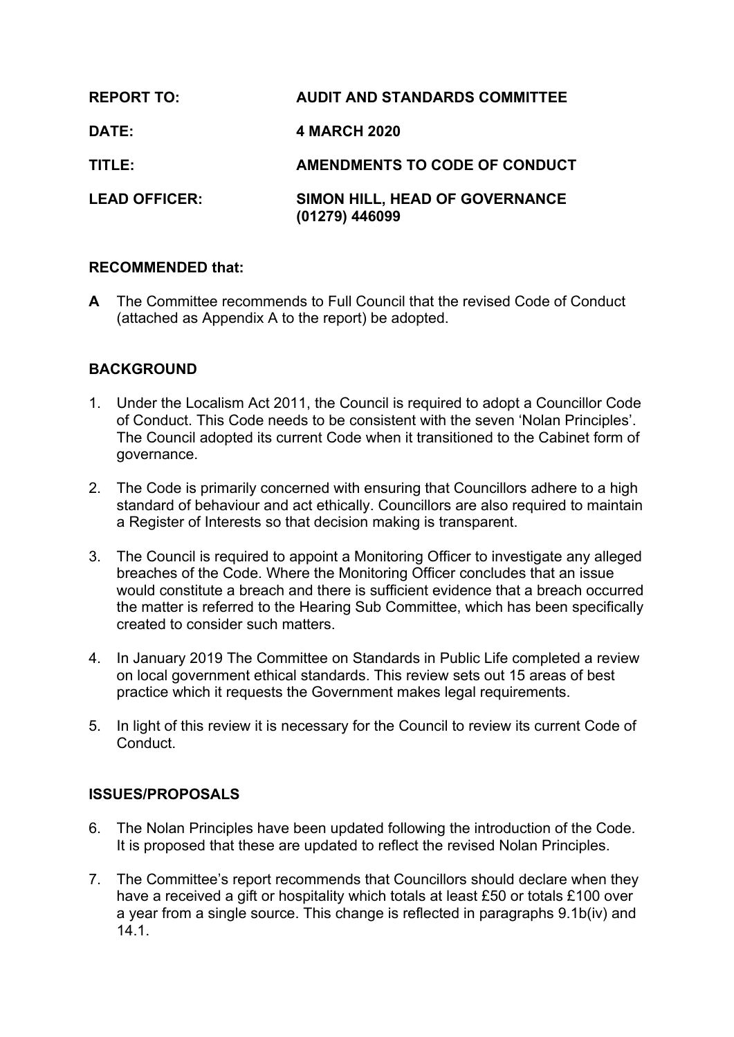| <b>REPORT TO:</b>    | <b>AUDIT AND STANDARDS COMMITTEE</b>             |
|----------------------|--------------------------------------------------|
| <b>DATE:</b>         | <b>4 MARCH 2020</b>                              |
| TITLE:               | AMENDMENTS TO CODE OF CONDUCT                    |
| <b>LEAD OFFICER:</b> | SIMON HILL, HEAD OF GOVERNANCE<br>(01279) 446099 |

### **RECOMMENDED that:**

**A** The Committee recommends to Full Council that the revised Code of Conduct (attached as Appendix A to the report) be adopted.

# **BACKGROUND**

- 1. Under the Localism Act 2011, the Council is required to adopt a Councillor Code of Conduct. This Code needs to be consistent with the seven 'Nolan Principles'. The Council adopted its current Code when it transitioned to the Cabinet form of governance.
- 2. The Code is primarily concerned with ensuring that Councillors adhere to a high standard of behaviour and act ethically. Councillors are also required to maintain a Register of Interests so that decision making is transparent.
- 3. The Council is required to appoint a Monitoring Officer to investigate any alleged breaches of the Code. Where the Monitoring Officer concludes that an issue would constitute a breach and there is sufficient evidence that a breach occurred the matter is referred to the Hearing Sub Committee, which has been specifically created to consider such matters.
- 4. In January 2019 The Committee on Standards in Public Life completed a review on local government ethical standards. This review sets out 15 areas of best practice which it requests the Government makes legal requirements.
- 5. In light of this review it is necessary for the Council to review its current Code of **Conduct**

# **ISSUES/PROPOSALS**

- 6. The Nolan Principles have been updated following the introduction of the Code. It is proposed that these are updated to reflect the revised Nolan Principles.
- 7. The Committee's report recommends that Councillors should declare when they have a received a gift or hospitality which totals at least £50 or totals £100 over a year from a single source. This change is reflected in paragraphs 9.1b(iv) and 14.1.